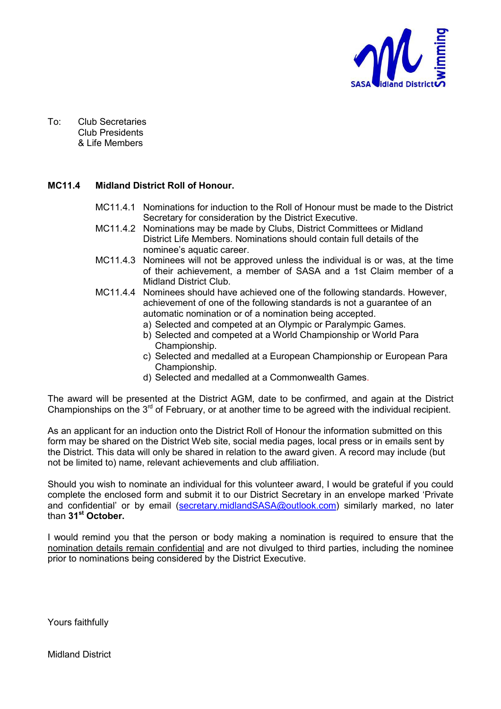

To: Club Secretaries Club Presidents & Life Members

#### **MC11.4 Midland District Roll of Honour.**

- MC11.4.1 Nominations for induction to the Roll of Honour must be made to the District Secretary for consideration by the District Executive.
- MC11.4.2 Nominations may be made by Clubs, District Committees or Midland District Life Members. Nominations should contain full details of the nominee's aquatic career.
- MC11.4.3 Nominees will not be approved unless the individual is or was, at the time of their achievement, a member of SASA and a 1st Claim member of a Midland District Club.
- MC11.4.4 Nominees should have achieved one of the following standards. However, achievement of one of the following standards is not a guarantee of an automatic nomination or of a nomination being accepted.
	- a) Selected and competed at an Olympic or Paralympic Games.
	- b) Selected and competed at a World Championship or World Para Championship.
	- c) Selected and medalled at a European Championship or European Para Championship.
	- d) Selected and medalled at a Commonwealth Games.

The award will be presented at the District AGM, date to be confirmed, and again at the District Championships on the  $3^{rd}$  of February, or at another time to be agreed with the individual recipient.

As an applicant for an induction onto the District Roll of Honour the information submitted on this form may be shared on the District Web site, social media pages, local press or in emails sent by the District. This data will only be shared in relation to the award given. A record may include (but not be limited to) name, relevant achievements and club affiliation.

Should you wish to nominate an individual for this volunteer award, I would be grateful if you could complete the enclosed form and submit it to our District Secretary in an envelope marked 'Private and confidential' or by email (secretary.midlandSASA@outlook.com) similarly marked, no later than **31st October.**

I would remind you that the person or body making a nomination is required to ensure that the nomination details remain confidential and are not divulged to third parties, including the nominee prior to nominations being considered by the District Executive.

Yours faithfully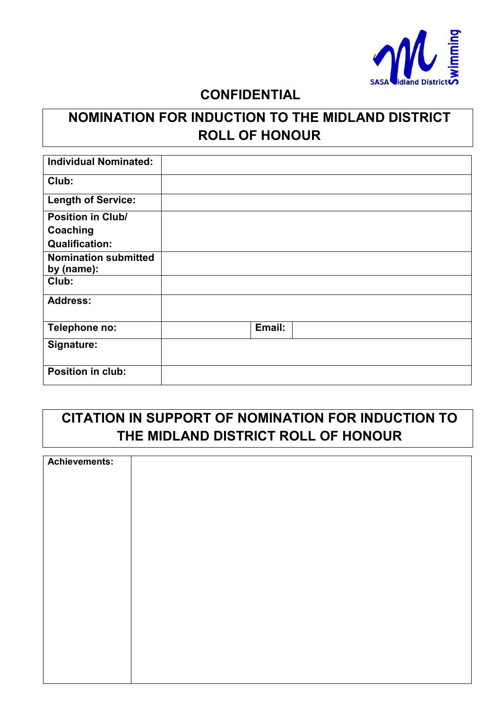

### **CONFIDENTIAL**

# **NOMINATION FOR INDUCTION TO THE MIDLAND DISTRICT ROLL OF HONOUR**

| <b>Individual Nominated:</b> |        |  |
|------------------------------|--------|--|
| Club:                        |        |  |
| <b>Length of Service:</b>    |        |  |
| <b>Position in Club/</b>     |        |  |
| Coaching                     |        |  |
| <b>Qualification:</b>        |        |  |
| <b>Nomination submitted</b>  |        |  |
| by (name):                   |        |  |
| Club:                        |        |  |
| <b>Address:</b>              |        |  |
| Telephone no:                | Email: |  |
| Signature:                   |        |  |
| Position in club:            |        |  |

# **CITATION IN SUPPORT OF NOMINATION FOR INDUCTION TO THE MIDLAND DISTRICT ROLL OF HONOUR**

| <b>Achievements:</b> |  |
|----------------------|--|
|                      |  |
|                      |  |
|                      |  |
|                      |  |
|                      |  |
|                      |  |
|                      |  |
|                      |  |
|                      |  |
|                      |  |
|                      |  |
|                      |  |
|                      |  |
|                      |  |
|                      |  |
|                      |  |
|                      |  |
|                      |  |
|                      |  |
|                      |  |
|                      |  |
|                      |  |
|                      |  |
|                      |  |
|                      |  |
|                      |  |
|                      |  |
|                      |  |
|                      |  |
|                      |  |
|                      |  |
|                      |  |
|                      |  |
|                      |  |